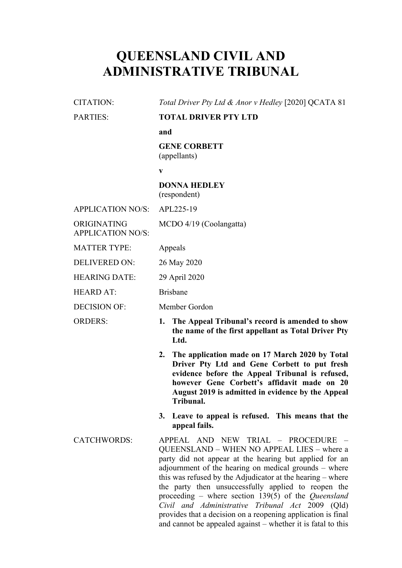# **QUEENSLAND CIVIL AND ADMINISTRATIVE TRIBUNAL**

| <b>CITATION:</b>                        | Total Driver Pty Ltd & Anor v Hedley [2020] QCATA 81                                                                                                                                                                                                                  |
|-----------------------------------------|-----------------------------------------------------------------------------------------------------------------------------------------------------------------------------------------------------------------------------------------------------------------------|
| <b>PARTIES:</b>                         | <b>TOTAL DRIVER PTY LTD</b>                                                                                                                                                                                                                                           |
|                                         | and                                                                                                                                                                                                                                                                   |
|                                         | <b>GENE CORBETT</b><br>(appellants)                                                                                                                                                                                                                                   |
|                                         | V                                                                                                                                                                                                                                                                     |
|                                         | <b>DONNA HEDLEY</b><br>(respondent)                                                                                                                                                                                                                                   |
| <b>APPLICATION NO/S:</b>                | APL225-19                                                                                                                                                                                                                                                             |
| ORIGINATING<br><b>APPLICATION NO/S:</b> | MCDO 4/19 (Coolangatta)                                                                                                                                                                                                                                               |
| <b>MATTER TYPE:</b>                     | Appeals                                                                                                                                                                                                                                                               |
| <b>DELIVERED ON:</b>                    | 26 May 2020                                                                                                                                                                                                                                                           |
| <b>HEARING DATE:</b>                    | 29 April 2020                                                                                                                                                                                                                                                         |
| <b>HEARD AT:</b>                        | <b>Brisbane</b>                                                                                                                                                                                                                                                       |
| <b>DECISION OF:</b>                     | Member Gordon                                                                                                                                                                                                                                                         |
| <b>ORDERS:</b>                          | The Appeal Tribunal's record is amended to show<br>1.<br>the name of the first appellant as Total Driver Pty<br>Ltd.                                                                                                                                                  |
|                                         | 2. The application made on 17 March 2020 by Total<br>Driver Pty Ltd and Gene Corbett to put fresh<br>evidence before the Appeal Tribunal is refused,<br>however Gene Corbett's affidavit made on 20<br>August 2019 is admitted in evidence by the Appeal<br>Tribunal. |
|                                         | Leave to appeal is refused. This means that the<br>3.<br>appeal fails.                                                                                                                                                                                                |
| <b>CATCHWORDS:</b>                      | APPEAL AND NEW TRIAL - PROCEDURE -<br>QUEENSLAND – WHEN NO APPEAL LIES – where a<br>ogates did not canoog of the begins but cantiad for an                                                                                                                            |

QUEENSLAND – WHEN NO APPEAL LIES – where a party did not appear at the hearing but applied for an adjournment of the hearing on medical grounds – where this was refused by the Adjudicator at the hearing – where the party then unsuccessfully applied to reopen the proceeding – where section 139(5) of the *Queensland Civil and Administrative Tribunal Act* 2009 (Qld) provides that a decision on a reopening application is final and cannot be appealed against – whether it is fatal to this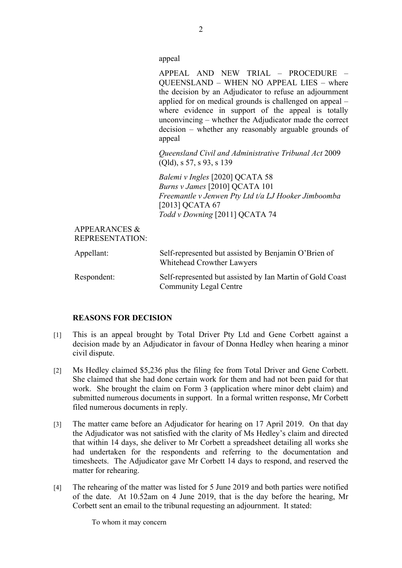appeal

APPEAL AND NEW TRIAL – PROCEDURE – QUEENSLAND – WHEN NO APPEAL LIES – where the decision by an Adjudicator to refuse an adjournment applied for on medical grounds is challenged on appeal – where evidence in support of the appeal is totally unconvincing – whether the Adjudicator made the correct decision – whether any reasonably arguable grounds of appeal

*Queensland Civil and Administrative Tribunal Act* 2009 (Qld), s 57, s 93, s 139

*Balemi v Ingles* [2020] QCATA 58 *Burns v James* [2010] QCATA 101 *Freemantle v Jenwen Pty Ltd t/a LJ Hooker Jimboomba*  [2013] QCATA 67 *Todd v Downing* [2011] QCATA 74

APPEARANCES & REPRESENTATION:

| Appellant:  | Self-represented but assisted by Benjamin O'Brien of<br>Whitehead Crowther Lawyers         |
|-------------|--------------------------------------------------------------------------------------------|
| Respondent: | Self-represented but assisted by Ian Martin of Gold Coast<br><b>Community Legal Centre</b> |

### **REASONS FOR DECISION**

- [1] This is an appeal brought by Total Driver Pty Ltd and Gene Corbett against a decision made by an Adjudicator in favour of Donna Hedley when hearing a minor civil dispute.
- [2] Ms Hedley claimed \$5,236 plus the filing fee from Total Driver and Gene Corbett. She claimed that she had done certain work for them and had not been paid for that work. She brought the claim on Form 3 (application where minor debt claim) and submitted numerous documents in support. In a formal written response, Mr Corbett filed numerous documents in reply.
- [3] The matter came before an Adjudicator for hearing on 17 April 2019. On that day the Adjudicator was not satisfied with the clarity of Ms Hedley's claim and directed that within 14 days, she deliver to Mr Corbett a spreadsheet detailing all works she had undertaken for the respondents and referring to the documentation and timesheets. The Adjudicator gave Mr Corbett 14 days to respond, and reserved the matter for rehearing.
- [4] The rehearing of the matter was listed for 5 June 2019 and both parties were notified of the date. At 10.52am on 4 June 2019, that is the day before the hearing, Mr Corbett sent an email to the tribunal requesting an adjournment. It stated:

To whom it may concern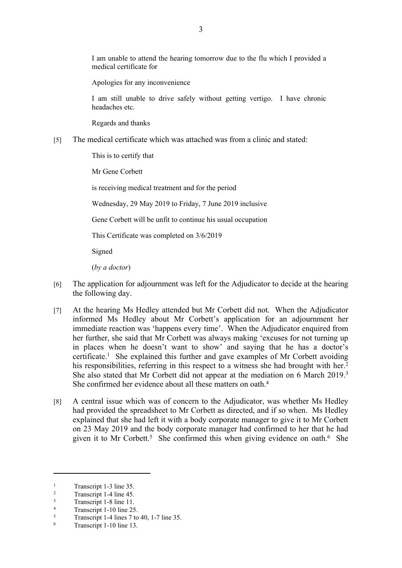I am unable to attend the hearing tomorrow due to the flu which I provided a medical certificate for

Apologies for any inconvenience

I am still unable to drive safely without getting vertigo. I have chronic headaches etc.

Regards and thanks

[5] The medical certificate which was attached was from a clinic and stated:

This is to certify that

Mr Gene Corbett

is receiving medical treatment and for the period

Wednesday, 29 May 2019 to Friday, 7 June 2019 inclusive

Gene Corbett will be unfit to continue his usual occupation

This Certificate was completed on 3/6/2019

Signed

(*by a doctor*)

- [6] The application for adjournment was left for the Adjudicator to decide at the hearing the following day.
- [7] At the hearing Ms Hedley attended but Mr Corbett did not. When the Adjudicator informed Ms Hedley about Mr Corbett's application for an adjournment her immediate reaction was 'happens every time'. When the Adjudicator enquired from her further, she said that Mr Corbett was always making 'excuses for not turning up in places when he doesn't want to show' and saying that he has a doctor's certificate.<sup>1</sup> She explained this further and gave examples of Mr Corbett avoiding his responsibilities, referring in this respect to a witness she had brought with her.<sup>2</sup> She also stated that Mr Corbett did not appear at the mediation on 6 March 2019.<sup>3</sup> She confirmed her evidence about all these matters on oath.<sup>4</sup>
- [8] A central issue which was of concern to the Adjudicator, was whether Ms Hedley had provided the spreadsheet to Mr Corbett as directed, and if so when. Ms Hedley explained that she had left it with a body corporate manager to give it to Mr Corbett on 23 May 2019 and the body corporate manager had confirmed to her that he had given it to Mr Corbett.<sup>5</sup> She confirmed this when giving evidence on oath.<sup>6</sup> She

<sup>1</sup> Transcript 1-3 line 35.

 $\overline{2}$ Transcript 1-4 line 45.

<sup>3</sup> Transcript 1-8 line 11. 4

Transcript 1-10 line 25. 5

Transcript 1-4 lines 7 to 40, 1-7 line 35.

<sup>6</sup> Transcript 1-10 line 13.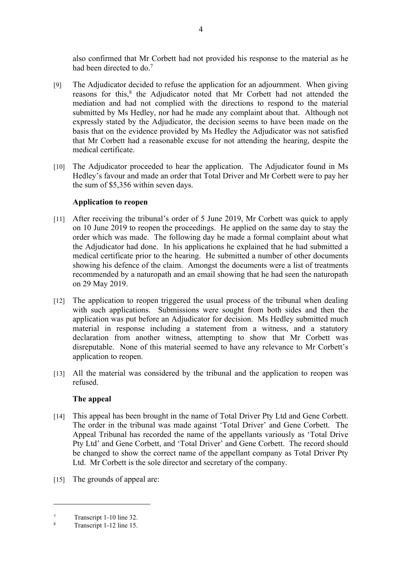also confirmed that Mr Corbett had not provided his response to the material as he had been directed to do.<sup>7</sup>

- [9] The Adjudicator decided to refuse the application for an adjournment. When giving reasons for this,<sup>8</sup> the Adjudicator noted that Mr Corbett had not attended the mediation and had not complied with the directions to respond to the material submitted by Ms Hedley, nor had he made any complaint about that. Although not expressly stated by the Adjudicator, the decision seems to have been made on the basis that on the evidence provided by Ms Hedley the Adjudicator was not satisfied that Mr Corbett had a reasonable excuse for not attending the hearing, despite the medical certificate.
- [10] The Adjudicator proceeded to hear the application. The Adjudicator found in Ms Hedley's favour and made an order that Total Driver and Mr Corbett were to pay her the sum of \$5,356 within seven days.

#### **Application to reopen**

- [11] After receiving the tribunal's order of 5 June 2019, Mr Corbett was quick to apply on 10 June 2019 to reopen the proceedings. He applied on the same day to stay the order which was made. The following day he made a formal complaint about what the Adjudicator had done. In his applications he explained that he had submitted a medical certificate prior to the hearing. He submitted a number of other documents showing his defence of the claim. Amongst the documents were a list of treatments recommended by a naturopath and an email showing that he had seen the naturopath on 29 May 2019.
- [12] The application to reopen triggered the usual process of the tribunal when dealing with such applications. Submissions were sought from both sides and then the application was put before an Adjudicator for decision. Ms Hedley submitted much material in response including a statement from a witness, and a statutory declaration from another witness, attempting to show that Mr Corbett was disreputable. None of this material seemed to have any relevance to Mr Corbett's application to reopen.
- [13] All the material was considered by the tribunal and the application to reopen was refused.

#### **The appeal**

- [14] This appeal has been brought in the name of Total Driver Pty Ltd and Gene Corbett. The order in the tribunal was made against 'Total Driver' and Gene Corbett. The Appeal Tribunal has recorded the name of the appellants variously as 'Total Drive Pty Ltd' and Gene Corbett, and 'Total Driver' and Gene Corbett. The record should be changed to show the correct name of the appellant company as Total Driver Pty Ltd. Mr Corbett is the sole director and secretary of the company.
- [15] The grounds of appeal are:

<sup>7</sup> Transcript 1-10 line 32.

<sup>8</sup> Transcript 1-12 line 15.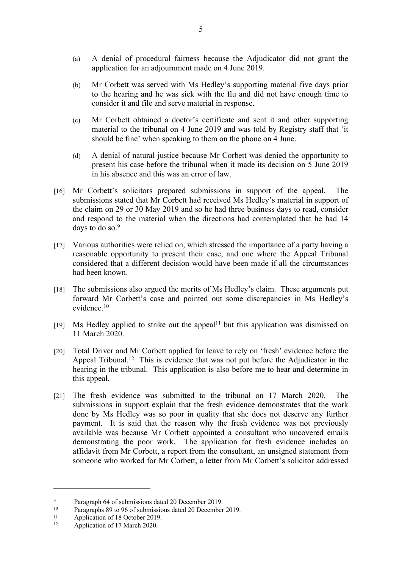- (a) A denial of procedural fairness because the Adjudicator did not grant the application for an adjournment made on 4 June 2019.
- (b) Mr Corbett was served with Ms Hedley's supporting material five days prior to the hearing and he was sick with the flu and did not have enough time to consider it and file and serve material in response.
- (c) Mr Corbett obtained a doctor's certificate and sent it and other supporting material to the tribunal on 4 June 2019 and was told by Registry staff that 'it should be fine' when speaking to them on the phone on 4 June.
- (d) A denial of natural justice because Mr Corbett was denied the opportunity to present his case before the tribunal when it made its decision on 5 June 2019 in his absence and this was an error of law.
- [16] Mr Corbett's solicitors prepared submissions in support of the appeal. The submissions stated that Mr Corbett had received Ms Hedley's material in support of the claim on 29 or 30 May 2019 and so he had three business days to read, consider and respond to the material when the directions had contemplated that he had 14 days to do so.<sup>9</sup>
- [17] Various authorities were relied on, which stressed the importance of a party having a reasonable opportunity to present their case, and one where the Appeal Tribunal considered that a different decision would have been made if all the circumstances had been known.
- [18] The submissions also argued the merits of Ms Hedley's claim. These arguments put forward Mr Corbett's case and pointed out some discrepancies in Ms Hedley's evidence.<sup>10</sup>
- $[19]$  Ms Hedley applied to strike out the appeal<sup>11</sup> but this application was dismissed on 11 March 2020.
- [20] Total Driver and Mr Corbett applied for leave to rely on 'fresh' evidence before the Appeal Tribunal.<sup>12</sup> This is evidence that was not put before the Adjudicator in the hearing in the tribunal. This application is also before me to hear and determine in this appeal.
- [21] The fresh evidence was submitted to the tribunal on 17 March 2020. The submissions in support explain that the fresh evidence demonstrates that the work done by Ms Hedley was so poor in quality that she does not deserve any further payment. It is said that the reason why the fresh evidence was not previously available was because Mr Corbett appointed a consultant who uncovered emails demonstrating the poor work. The application for fresh evidence includes an affidavit from Mr Corbett, a report from the consultant, an unsigned statement from someone who worked for Mr Corbett, a letter from Mr Corbett's solicitor addressed

 $\mathbf{Q}$ Paragraph 64 of submissions dated 20 December 2019.

Paragraphs 89 to 96 of submissions dated 20 December 2019.

<sup>&</sup>lt;sup>11</sup> Application of 18 October 2019.<br><sup>12</sup> Application of 17 March 2020.

Application of 17 March 2020.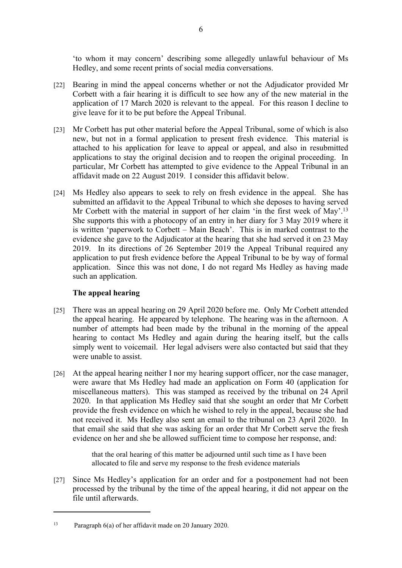'to whom it may concern' describing some allegedly unlawful behaviour of Ms Hedley, and some recent prints of social media conversations.

- [22] Bearing in mind the appeal concerns whether or not the Adjudicator provided Mr Corbett with a fair hearing it is difficult to see how any of the new material in the application of 17 March 2020 is relevant to the appeal. For this reason I decline to give leave for it to be put before the Appeal Tribunal.
- [23] Mr Corbett has put other material before the Appeal Tribunal, some of which is also new, but not in a formal application to present fresh evidence. This material is attached to his application for leave to appeal or appeal, and also in resubmitted applications to stay the original decision and to reopen the original proceeding. In particular, Mr Corbett has attempted to give evidence to the Appeal Tribunal in an affidavit made on 22 August 2019. I consider this affidavit below.
- [24] Ms Hedley also appears to seek to rely on fresh evidence in the appeal. She has submitted an affidavit to the Appeal Tribunal to which she deposes to having served Mr Corbett with the material in support of her claim 'in the first week of May'.<sup>13</sup> She supports this with a photocopy of an entry in her diary for 3 May 2019 where it is written 'paperwork to Corbett – Main Beach'. This is in marked contrast to the evidence she gave to the Adjudicator at the hearing that she had served it on 23 May 2019. In its directions of 26 September 2019 the Appeal Tribunal required any application to put fresh evidence before the Appeal Tribunal to be by way of formal application. Since this was not done, I do not regard Ms Hedley as having made such an application.

#### **The appeal hearing**

- [25] There was an appeal hearing on 29 April 2020 before me. Only Mr Corbett attended the appeal hearing. He appeared by telephone. The hearing was in the afternoon. A number of attempts had been made by the tribunal in the morning of the appeal hearing to contact Ms Hedley and again during the hearing itself, but the calls simply went to voicemail. Her legal advisers were also contacted but said that they were unable to assist.
- [26] At the appeal hearing neither I nor my hearing support officer, nor the case manager, were aware that Ms Hedley had made an application on Form 40 (application for miscellaneous matters). This was stamped as received by the tribunal on 24 April 2020. In that application Ms Hedley said that she sought an order that Mr Corbett provide the fresh evidence on which he wished to rely in the appeal, because she had not received it. Ms Hedley also sent an email to the tribunal on 23 April 2020. In that email she said that she was asking for an order that Mr Corbett serve the fresh evidence on her and she be allowed sufficient time to compose her response, and:

that the oral hearing of this matter be adjourned until such time as I have been allocated to file and serve my response to the fresh evidence materials

[27] Since Ms Hedley's application for an order and for a postponement had not been processed by the tribunal by the time of the appeal hearing, it did not appear on the file until afterwards.

<sup>13</sup> Paragraph 6(a) of her affidavit made on 20 January 2020.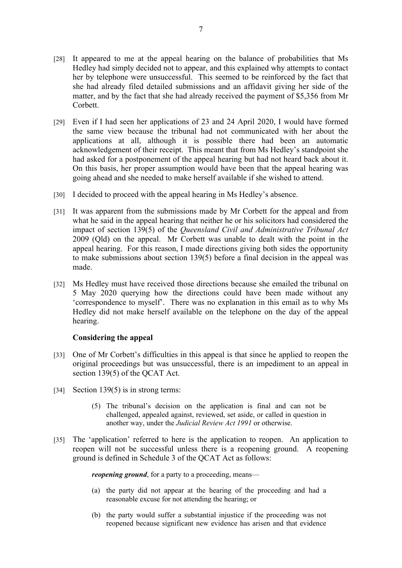- [28] It appeared to me at the appeal hearing on the balance of probabilities that Ms Hedley had simply decided not to appear, and this explained why attempts to contact her by telephone were unsuccessful. This seemed to be reinforced by the fact that she had already filed detailed submissions and an affidavit giving her side of the matter, and by the fact that she had already received the payment of \$5,356 from Mr Corbett.
- [29] Even if I had seen her applications of 23 and 24 April 2020, I would have formed the same view because the tribunal had not communicated with her about the applications at all, although it is possible there had been an automatic acknowledgement of their receipt. This meant that from Ms Hedley's standpoint she had asked for a postponement of the appeal hearing but had not heard back about it. On this basis, her proper assumption would have been that the appeal hearing was going ahead and she needed to make herself available if she wished to attend.
- [30] I decided to proceed with the appeal hearing in Ms Hedley's absence.
- [31] It was apparent from the submissions made by Mr Corbett for the appeal and from what he said in the appeal hearing that neither he or his solicitors had considered the impact of section 139(5) of the *Queensland Civil and Administrative Tribunal Act*  2009 (Qld) on the appeal. Mr Corbett was unable to dealt with the point in the appeal hearing. For this reason, I made directions giving both sides the opportunity to make submissions about section 139(5) before a final decision in the appeal was made.
- [32] Ms Hedley must have received those directions because she emailed the tribunal on 5 May 2020 querying how the directions could have been made without any 'correspondence to myself'. There was no explanation in this email as to why Ms Hedley did not make herself available on the telephone on the day of the appeal hearing.

#### **Considering the appeal**

- [33] One of Mr Corbett's difficulties in this appeal is that since he applied to reopen the original proceedings but was unsuccessful, there is an impediment to an appeal in section 139(5) of the OCAT Act.
- [34] Section 139(5) is in strong terms:
	- (5) The tribunal's decision on the application is final and can not be challenged, appealed against, reviewed, set aside, or called in question in another way, under the *Judicial Review Act 1991* or otherwise.
- [35] The 'application' referred to here is the application to reopen. An application to reopen will not be successful unless there is a reopening ground. A reopening ground is defined in Schedule 3 of the QCAT Act as follows:

*reopening ground*, for a party to a proceeding, means—

- (a) the party did not appear at the hearing of the proceeding and had a reasonable excuse for not attending the hearing; or
- (b) the party would suffer a substantial injustice if the proceeding was not reopened because significant new evidence has arisen and that evidence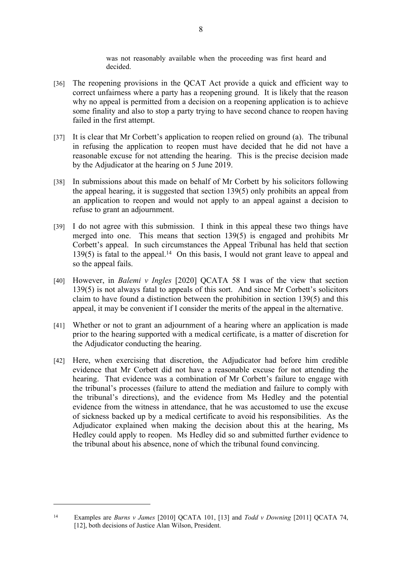was not reasonably available when the proceeding was first heard and decided.

- [36] The reopening provisions in the QCAT Act provide a quick and efficient way to correct unfairness where a party has a reopening ground. It is likely that the reason why no appeal is permitted from a decision on a reopening application is to achieve some finality and also to stop a party trying to have second chance to reopen having failed in the first attempt.
- [37] It is clear that Mr Corbett's application to reopen relied on ground (a). The tribunal in refusing the application to reopen must have decided that he did not have a reasonable excuse for not attending the hearing. This is the precise decision made by the Adjudicator at the hearing on 5 June 2019.
- [38] In submissions about this made on behalf of Mr Corbett by his solicitors following the appeal hearing, it is suggested that section 139(5) only prohibits an appeal from an application to reopen and would not apply to an appeal against a decision to refuse to grant an adjournment.
- [39] I do not agree with this submission. I think in this appeal these two things have merged into one. This means that section 139(5) is engaged and prohibits Mr Corbett's appeal. In such circumstances the Appeal Tribunal has held that section  $139(5)$  is fatal to the appeal.<sup>14</sup> On this basis, I would not grant leave to appeal and so the appeal fails.
- [40] However, in *Balemi v Ingles* [2020] QCATA 58 I was of the view that section 139(5) is not always fatal to appeals of this sort. And since Mr Corbett's solicitors claim to have found a distinction between the prohibition in section 139(5) and this appeal, it may be convenient if I consider the merits of the appeal in the alternative.
- [41] Whether or not to grant an adjournment of a hearing where an application is made prior to the hearing supported with a medical certificate, is a matter of discretion for the Adjudicator conducting the hearing.
- [42] Here, when exercising that discretion, the Adjudicator had before him credible evidence that Mr Corbett did not have a reasonable excuse for not attending the hearing. That evidence was a combination of Mr Corbett's failure to engage with the tribunal's processes (failure to attend the mediation and failure to comply with the tribunal's directions), and the evidence from Ms Hedley and the potential evidence from the witness in attendance, that he was accustomed to use the excuse of sickness backed up by a medical certificate to avoid his responsibilities. As the Adjudicator explained when making the decision about this at the hearing, Ms Hedley could apply to reopen. Ms Hedley did so and submitted further evidence to the tribunal about his absence, none of which the tribunal found convincing.

<sup>14</sup> Examples are *Burns v James* [2010] QCATA 101, [13] and *Todd v Downing* [2011] QCATA 74, [12], both decisions of Justice Alan Wilson, President.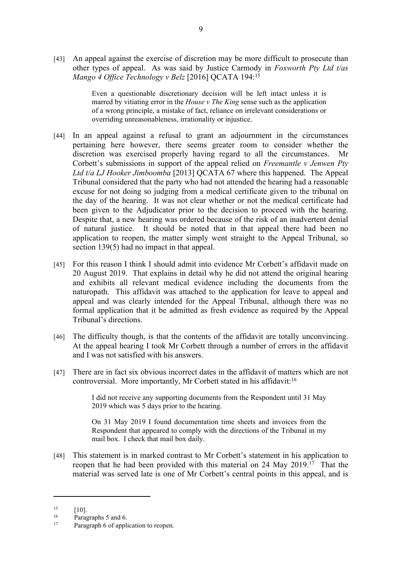[43] An appeal against the exercise of discretion may be more difficult to prosecute than other types of appeal. As was said by Justice Carmody in *Foxworth Pty Ltd t/as Mango 4 Office Technology v Belz* [2016] QCATA 194:<sup>15</sup>

> Even a questionable discretionary decision will be left intact unless it is marred by vitiating error in the *House v The King* sense such as the application of a wrong principle, a mistake of fact, reliance on irrelevant considerations or overriding unreasonableness, irrationality or injustice.

- [44] In an appeal against a refusal to grant an adjournment in the circumstances pertaining here however, there seems greater room to consider whether the discretion was exercised properly having regard to all the circumstances. Mr Corbett's submissions in support of the appeal relied on *Freemantle v Jenwen Pty Ltd t/a LJ Hooker Jimboomba* [2013] QCATA 67 where this happened. The Appeal Tribunal considered that the party who had not attended the hearing had a reasonable excuse for not doing so judging from a medical certificate given to the tribunal on the day of the hearing. It was not clear whether or not the medical certificate had been given to the Adjudicator prior to the decision to proceed with the hearing. Despite that, a new hearing was ordered because of the risk of an inadvertent denial of natural justice. It should be noted that in that appeal there had been no application to reopen, the matter simply went straight to the Appeal Tribunal, so section 139(5) had no impact in that appeal.
- [45] For this reason I think I should admit into evidence Mr Corbett's affidavit made on 20 August 2019. That explains in detail why he did not attend the original hearing and exhibits all relevant medical evidence including the documents from the naturopath. This affidavit was attached to the application for leave to appeal and appeal and was clearly intended for the Appeal Tribunal, although there was no formal application that it be admitted as fresh evidence as required by the Appeal Tribunal's directions.
- [46] The difficulty though, is that the contents of the affidavit are totally unconvincing. At the appeal hearing I took Mr Corbett through a number of errors in the affidavit and I was not satisfied with his answers.
- [47] There are in fact six obvious incorrect dates in the affidavit of matters which are not controversial. More importantly, Mr Corbett stated in his affidavit:<sup>16</sup>

I did not receive any supporting documents from the Respondent until 31 May 2019 which was 5 days prior to the hearing.

On 31 May 2019 I found documentation time sheets and invoices from the Respondent that appeared to comply with the directions of the Tribunal in my mail box. I check that mail box daily.

[48] This statement is in marked contrast to Mr Corbett's statement in his application to reopen that he had been provided with this material on 24 May 2019.<sup>17</sup> That the material was served late is one of Mr Corbett's central points in this appeal, and is

 $15$   $[10]$ 

 $\frac{16}{17}$  Paragraphs 5 and 6.

Paragraph 6 of application to reopen.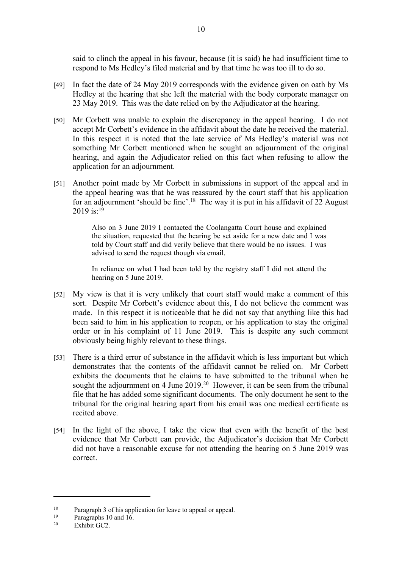said to clinch the appeal in his favour, because (it is said) he had insufficient time to respond to Ms Hedley's filed material and by that time he was too ill to do so.

- [49] In fact the date of 24 May 2019 corresponds with the evidence given on oath by Ms Hedley at the hearing that she left the material with the body corporate manager on 23 May 2019. This was the date relied on by the Adjudicator at the hearing.
- [50] Mr Corbett was unable to explain the discrepancy in the appeal hearing. I do not accept Mr Corbett's evidence in the affidavit about the date he received the material. In this respect it is noted that the late service of Ms Hedley's material was not something Mr Corbett mentioned when he sought an adjournment of the original hearing, and again the Adjudicator relied on this fact when refusing to allow the application for an adjournment.
- [51] Another point made by Mr Corbett in submissions in support of the appeal and in the appeal hearing was that he was reassured by the court staff that his application for an adjournment 'should be fine'.<sup>18</sup> The way it is put in his affidavit of 22 August 2019 is: $19$

Also on 3 June 2019 I contacted the Coolangatta Court house and explained the situation, requested that the hearing be set aside for a new date and I was told by Court staff and did verily believe that there would be no issues. I was advised to send the request though via email.

In reliance on what I had been told by the registry staff I did not attend the hearing on 5 June 2019.

- [52] My view is that it is very unlikely that court staff would make a comment of this sort. Despite Mr Corbett's evidence about this, I do not believe the comment was made. In this respect it is noticeable that he did not say that anything like this had been said to him in his application to reopen, or his application to stay the original order or in his complaint of 11 June 2019. This is despite any such comment obviously being highly relevant to these things.
- [53] There is a third error of substance in the affidavit which is less important but which demonstrates that the contents of the affidavit cannot be relied on. Mr Corbett exhibits the documents that he claims to have submitted to the tribunal when he sought the adjournment on 4 June 2019.<sup>20</sup> However, it can be seen from the tribunal file that he has added some significant documents. The only document he sent to the tribunal for the original hearing apart from his email was one medical certificate as recited above.
- [54] In the light of the above, I take the view that even with the benefit of the best evidence that Mr Corbett can provide, the Adjudicator's decision that Mr Corbett did not have a reasonable excuse for not attending the hearing on 5 June 2019 was correct.

<sup>&</sup>lt;sup>18</sup> Paragraph 3 of his application for leave to appeal or appeal.

<sup>&</sup>lt;sup>19</sup> Paragraphs 10 and 16.<br><sup>20</sup> Exhibit GC2

Exhibit GC2.